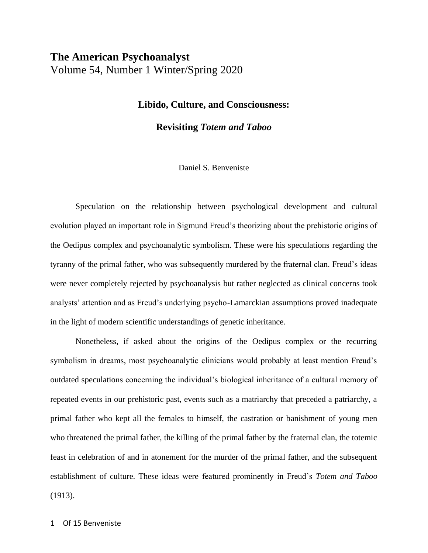# **The American Psychoanalyst**

Volume 54, Number 1 Winter/Spring 2020

## **Libido, Culture, and Consciousness:**

**Revisiting** *Totem and Taboo*

## Daniel S. Benveniste

Speculation on the relationship between psychological development and cultural evolution played an important role in Sigmund Freud's theorizing about the prehistoric origins of the Oedipus complex and psychoanalytic symbolism. These were his speculations regarding the tyranny of the primal father, who was subsequently murdered by the fraternal clan. Freud's ideas were never completely rejected by psychoanalysis but rather neglected as clinical concerns took analysts' attention and as Freud's underlying psycho-Lamarckian assumptions proved inadequate in the light of modern scientific understandings of genetic inheritance.

Nonetheless, if asked about the origins of the Oedipus complex or the recurring symbolism in dreams, most psychoanalytic clinicians would probably at least mention Freud's outdated speculations concerning the individual's biological inheritance of a cultural memory of repeated events in our prehistoric past, events such as a matriarchy that preceded a patriarchy, a primal father who kept all the females to himself, the castration or banishment of young men who threatened the primal father, the killing of the primal father by the fraternal clan, the totemic feast in celebration of and in atonement for the murder of the primal father, and the subsequent establishment of culture. These ideas were featured prominently in Freud's *Totem and Taboo* (1913).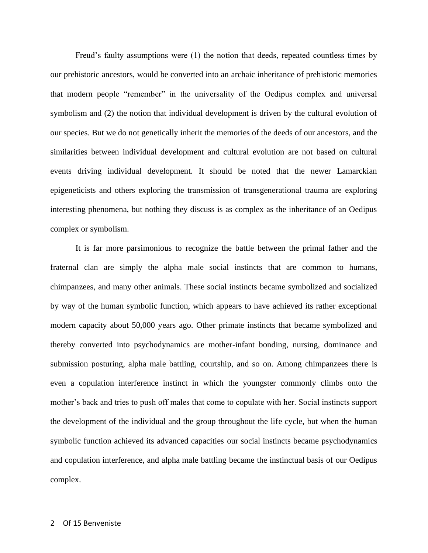Freud's faulty assumptions were (1) the notion that deeds, repeated countless times by our prehistoric ancestors, would be converted into an archaic inheritance of prehistoric memories that modern people "remember" in the universality of the Oedipus complex and universal symbolism and (2) the notion that individual development is driven by the cultural evolution of our species. But we do not genetically inherit the memories of the deeds of our ancestors, and the similarities between individual development and cultural evolution are not based on cultural events driving individual development. It should be noted that the newer Lamarckian epigeneticists and others exploring the transmission of transgenerational trauma are exploring interesting phenomena, but nothing they discuss is as complex as the inheritance of an Oedipus complex or symbolism.

It is far more parsimonious to recognize the battle between the primal father and the fraternal clan are simply the alpha male social instincts that are common to humans, chimpanzees, and many other animals. These social instincts became symbolized and socialized by way of the human symbolic function, which appears to have achieved its rather exceptional modern capacity about 50,000 years ago. Other primate instincts that became symbolized and thereby converted into psychodynamics are mother-infant bonding, nursing, dominance and submission posturing, alpha male battling, courtship, and so on. Among chimpanzees there is even a copulation interference instinct in which the youngster commonly climbs onto the mother's back and tries to push off males that come to copulate with her. Social instincts support the development of the individual and the group throughout the life cycle, but when the human symbolic function achieved its advanced capacities our social instincts became psychodynamics and copulation interference, and alpha male battling became the instinctual basis of our Oedipus complex.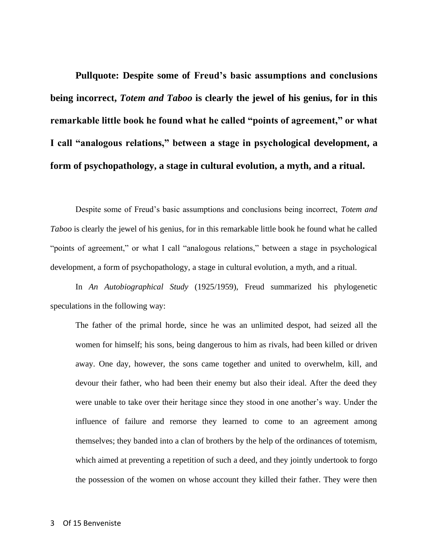**Pullquote: Despite some of Freud's basic assumptions and conclusions being incorrect,** *Totem and Taboo* **is clearly the jewel of his genius, for in this remarkable little book he found what he called "points of agreement," or what I call "analogous relations," between a stage in psychological development, a form of psychopathology, a stage in cultural evolution, a myth, and a ritual.** 

Despite some of Freud's basic assumptions and conclusions being incorrect, *Totem and Taboo* is clearly the jewel of his genius, for in this remarkable little book he found what he called "points of agreement," or what I call "analogous relations," between a stage in psychological development, a form of psychopathology, a stage in cultural evolution, a myth, and a ritual.

In *An Autobiographical Study* (1925/1959), Freud summarized his phylogenetic speculations in the following way:

The father of the primal horde, since he was an unlimited despot, had seized all the women for himself; his sons, being dangerous to him as rivals, had been killed or driven away. One day, however, the sons came together and united to overwhelm, kill, and devour their father, who had been their enemy but also their ideal. After the deed they were unable to take over their heritage since they stood in one another's way. Under the influence of failure and remorse they learned to come to an agreement among themselves; they banded into a clan of brothers by the help of the ordinances of totemism, which aimed at preventing a repetition of such a deed, and they jointly undertook to forgo the possession of the women on whose account they killed their father. They were then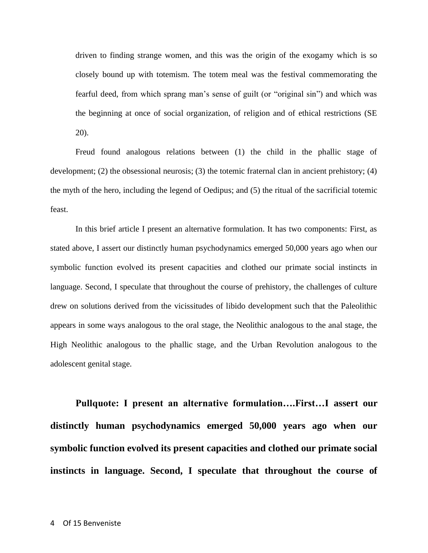driven to finding strange women, and this was the origin of the exogamy which is so closely bound up with totemism. The totem meal was the festival commemorating the fearful deed, from which sprang man's sense of guilt (or "original sin") and which was the beginning at once of social organization, of religion and of ethical restrictions (SE 20).

Freud found analogous relations between (1) the child in the phallic stage of development; (2) the obsessional neurosis; (3) the totemic fraternal clan in ancient prehistory; (4) the myth of the hero, including the legend of Oedipus; and (5) the ritual of the sacrificial totemic feast.

In this brief article I present an alternative formulation. It has two components: First, as stated above, I assert our distinctly human psychodynamics emerged 50,000 years ago when our symbolic function evolved its present capacities and clothed our primate social instincts in language. Second, I speculate that throughout the course of prehistory, the challenges of culture drew on solutions derived from the vicissitudes of libido development such that the Paleolithic appears in some ways analogous to the oral stage, the Neolithic analogous to the anal stage, the High Neolithic analogous to the phallic stage, and the Urban Revolution analogous to the adolescent genital stage.

**Pullquote: I present an alternative formulation….First…I assert our distinctly human psychodynamics emerged 50,000 years ago when our symbolic function evolved its present capacities and clothed our primate social instincts in language. Second, I speculate that throughout the course of**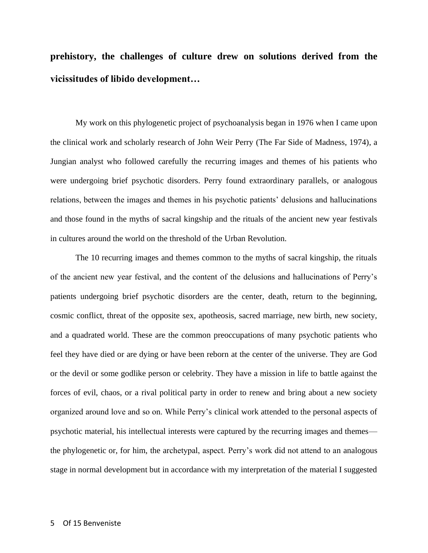**prehistory, the challenges of culture drew on solutions derived from the vicissitudes of libido development…**

My work on this phylogenetic project of psychoanalysis began in 1976 when I came upon the clinical work and scholarly research of John Weir Perry (The Far Side of Madness, 1974), a Jungian analyst who followed carefully the recurring images and themes of his patients who were undergoing brief psychotic disorders. Perry found extraordinary parallels, or analogous relations, between the images and themes in his psychotic patients' delusions and hallucinations and those found in the myths of sacral kingship and the rituals of the ancient new year festivals in cultures around the world on the threshold of the Urban Revolution.

The 10 recurring images and themes common to the myths of sacral kingship, the rituals of the ancient new year festival, and the content of the delusions and hallucinations of Perry's patients undergoing brief psychotic disorders are the center, death, return to the beginning, cosmic conflict, threat of the opposite sex, apotheosis, sacred marriage, new birth, new society, and a quadrated world. These are the common preoccupations of many psychotic patients who feel they have died or are dying or have been reborn at the center of the universe. They are God or the devil or some godlike person or celebrity. They have a mission in life to battle against the forces of evil, chaos, or a rival political party in order to renew and bring about a new society organized around love and so on. While Perry's clinical work attended to the personal aspects of psychotic material, his intellectual interests were captured by the recurring images and themes the phylogenetic or, for him, the archetypal, aspect. Perry's work did not attend to an analogous stage in normal development but in accordance with my interpretation of the material I suggested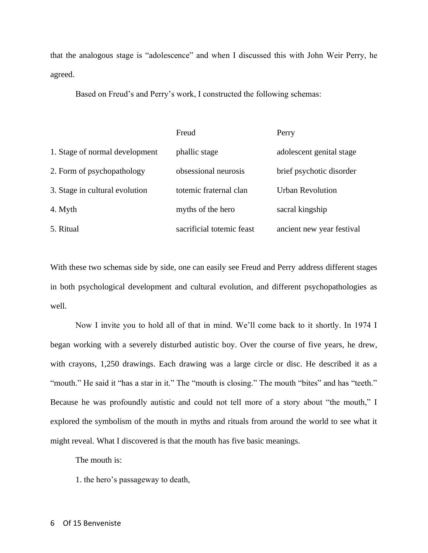that the analogous stage is "adolescence" and when I discussed this with John Weir Perry, he agreed.

Based on Freud's and Perry's work, I constructed the following schemas:

|                                | Freud                     | Perry                     |
|--------------------------------|---------------------------|---------------------------|
| 1. Stage of normal development | phallic stage             | adolescent genital stage  |
| 2. Form of psychopathology     | obsessional neurosis      | brief psychotic disorder  |
| 3. Stage in cultural evolution | totemic fraternal clan    | <b>Urban Revolution</b>   |
| 4. Myth                        | myths of the hero         | sacral kingship           |
| 5. Ritual                      | sacrificial totemic feast | ancient new year festival |

With these two schemas side by side, one can easily see Freud and Perry address different stages in both psychological development and cultural evolution, and different psychopathologies as well.

Now I invite you to hold all of that in mind. We'll come back to it shortly. In 1974 I began working with a severely disturbed autistic boy. Over the course of five years, he drew, with crayons, 1,250 drawings. Each drawing was a large circle or disc. He described it as a "mouth." He said it "has a star in it." The "mouth is closing." The mouth "bites" and has "teeth." Because he was profoundly autistic and could not tell more of a story about "the mouth," I explored the symbolism of the mouth in myths and rituals from around the world to see what it might reveal. What I discovered is that the mouth has five basic meanings.

The mouth is:

1. the hero's passageway to death,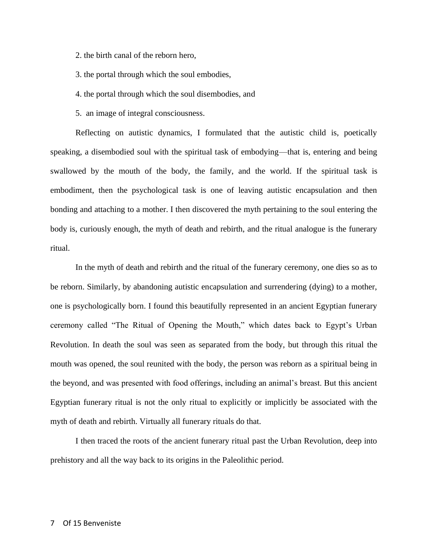2. the birth canal of the reborn hero,

3. the portal through which the soul embodies,

4. the portal through which the soul disembodies, and

5. an image of integral consciousness.

Reflecting on autistic dynamics, I formulated that the autistic child is, poetically speaking, a disembodied soul with the spiritual task of embodying—that is, entering and being swallowed by the mouth of the body, the family, and the world. If the spiritual task is embodiment, then the psychological task is one of leaving autistic encapsulation and then bonding and attaching to a mother. I then discovered the myth pertaining to the soul entering the body is, curiously enough, the myth of death and rebirth, and the ritual analogue is the funerary ritual.

In the myth of death and rebirth and the ritual of the funerary ceremony, one dies so as to be reborn. Similarly, by abandoning autistic encapsulation and surrendering (dying) to a mother, one is psychologically born. I found this beautifully represented in an ancient Egyptian funerary ceremony called "The Ritual of Opening the Mouth," which dates back to Egypt's Urban Revolution. In death the soul was seen as separated from the body, but through this ritual the mouth was opened, the soul reunited with the body, the person was reborn as a spiritual being in the beyond, and was presented with food offerings, including an animal's breast. But this ancient Egyptian funerary ritual is not the only ritual to explicitly or implicitly be associated with the myth of death and rebirth. Virtually all funerary rituals do that.

I then traced the roots of the ancient funerary ritual past the Urban Revolution, deep into prehistory and all the way back to its origins in the Paleolithic period.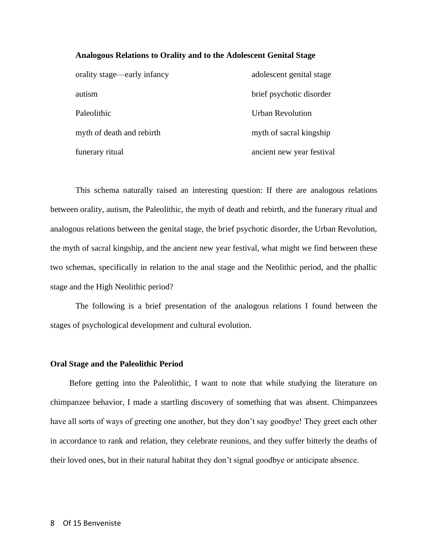## **Analogous Relations to Orality and to the Adolescent Genital Stage**

| orality stage—early infancy | adolescent genital stage  |
|-----------------------------|---------------------------|
| autism                      | brief psychotic disorder  |
| Paleolithic                 | <b>Urban Revolution</b>   |
| myth of death and rebirth   | myth of sacral kingship   |
| funerary ritual             | ancient new year festival |

This schema naturally raised an interesting question: If there are analogous relations between orality, autism, the Paleolithic, the myth of death and rebirth, and the funerary ritual and analogous relations between the genital stage, the brief psychotic disorder, the Urban Revolution, the myth of sacral kingship, and the ancient new year festival, what might we find between these two schemas, specifically in relation to the anal stage and the Neolithic period, and the phallic stage and the High Neolithic period?

The following is a brief presentation of the analogous relations I found between the stages of psychological development and cultural evolution.

#### **Oral Stage and the Paleolithic Period**

Before getting into the Paleolithic, I want to note that while studying the literature on chimpanzee behavior, I made a startling discovery of something that was absent. Chimpanzees have all sorts of ways of greeting one another, but they don't say goodbye! They greet each other in accordance to rank and relation, they celebrate reunions, and they suffer bitterly the deaths of their loved ones, but in their natural habitat they don't signal goodbye or anticipate absence.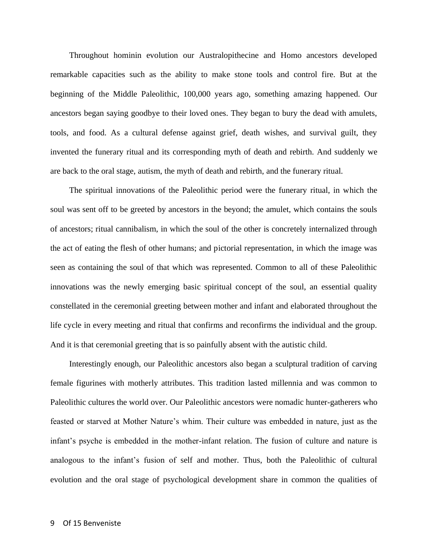Throughout hominin evolution our Australopithecine and Homo ancestors developed remarkable capacities such as the ability to make stone tools and control fire. But at the beginning of the Middle Paleolithic, 100,000 years ago, something amazing happened. Our ancestors began saying goodbye to their loved ones. They began to bury the dead with amulets, tools, and food. As a cultural defense against grief, death wishes, and survival guilt, they invented the funerary ritual and its corresponding myth of death and rebirth. And suddenly we are back to the oral stage, autism, the myth of death and rebirth, and the funerary ritual.

The spiritual innovations of the Paleolithic period were the funerary ritual, in which the soul was sent off to be greeted by ancestors in the beyond; the amulet, which contains the souls of ancestors; ritual cannibalism, in which the soul of the other is concretely internalized through the act of eating the flesh of other humans; and pictorial representation, in which the image was seen as containing the soul of that which was represented. Common to all of these Paleolithic innovations was the newly emerging basic spiritual concept of the soul, an essential quality constellated in the ceremonial greeting between mother and infant and elaborated throughout the life cycle in every meeting and ritual that confirms and reconfirms the individual and the group. And it is that ceremonial greeting that is so painfully absent with the autistic child.

Interestingly enough, our Paleolithic ancestors also began a sculptural tradition of carving female figurines with motherly attributes. This tradition lasted millennia and was common to Paleolithic cultures the world over. Our Paleolithic ancestors were nomadic hunter-gatherers who feasted or starved at Mother Nature's whim. Their culture was embedded in nature, just as the infant's psyche is embedded in the mother-infant relation. The fusion of culture and nature is analogous to the infant's fusion of self and mother. Thus, both the Paleolithic of cultural evolution and the oral stage of psychological development share in common the qualities of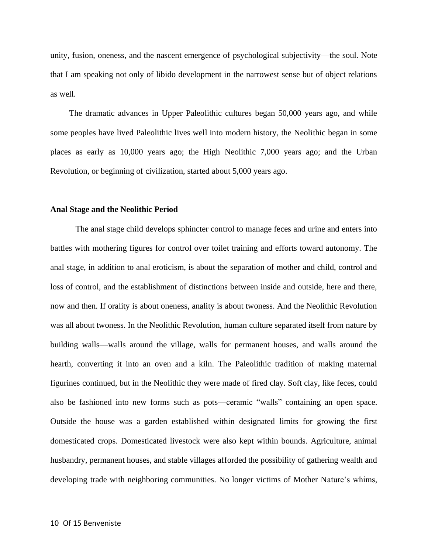unity, fusion, oneness, and the nascent emergence of psychological subjectivity—the soul. Note that I am speaking not only of libido development in the narrowest sense but of object relations as well.

The dramatic advances in Upper Paleolithic cultures began 50,000 years ago, and while some peoples have lived Paleolithic lives well into modern history, the Neolithic began in some places as early as 10,000 years ago; the High Neolithic 7,000 years ago; and the Urban Revolution, or beginning of civilization, started about 5,000 years ago.

## **Anal Stage and the Neolithic Period**

The anal stage child develops sphincter control to manage feces and urine and enters into battles with mothering figures for control over toilet training and efforts toward autonomy. The anal stage, in addition to anal eroticism, is about the separation of mother and child, control and loss of control, and the establishment of distinctions between inside and outside, here and there, now and then. If orality is about oneness, anality is about twoness. And the Neolithic Revolution was all about twoness. In the Neolithic Revolution, human culture separated itself from nature by building walls—walls around the village, walls for permanent houses, and walls around the hearth, converting it into an oven and a kiln. The Paleolithic tradition of making maternal figurines continued, but in the Neolithic they were made of fired clay. Soft clay, like feces, could also be fashioned into new forms such as pots—ceramic "walls" containing an open space. Outside the house was a garden established within designated limits for growing the first domesticated crops. Domesticated livestock were also kept within bounds. Agriculture, animal husbandry, permanent houses, and stable villages afforded the possibility of gathering wealth and developing trade with neighboring communities. No longer victims of Mother Nature's whims,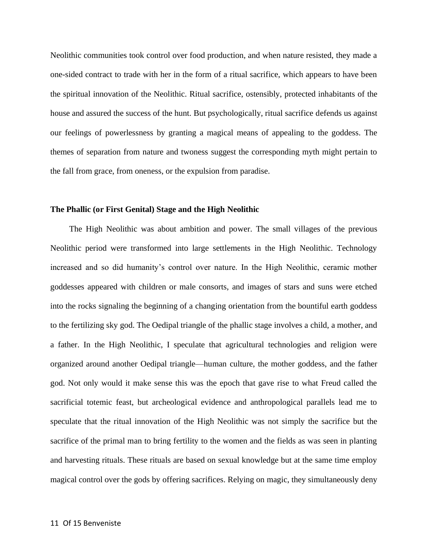Neolithic communities took control over food production, and when nature resisted, they made a one-sided contract to trade with her in the form of a ritual sacrifice, which appears to have been the spiritual innovation of the Neolithic. Ritual sacrifice, ostensibly, protected inhabitants of the house and assured the success of the hunt. But psychologically, ritual sacrifice defends us against our feelings of powerlessness by granting a magical means of appealing to the goddess. The themes of separation from nature and twoness suggest the corresponding myth might pertain to the fall from grace, from oneness, or the expulsion from paradise.

## **The Phallic (or First Genital) Stage and the High Neolithic**

The High Neolithic was about ambition and power. The small villages of the previous Neolithic period were transformed into large settlements in the High Neolithic. Technology increased and so did humanity's control over nature. In the High Neolithic, ceramic mother goddesses appeared with children or male consorts, and images of stars and suns were etched into the rocks signaling the beginning of a changing orientation from the bountiful earth goddess to the fertilizing sky god. The Oedipal triangle of the phallic stage involves a child, a mother, and a father. In the High Neolithic, I speculate that agricultural technologies and religion were organized around another Oedipal triangle—human culture, the mother goddess, and the father god. Not only would it make sense this was the epoch that gave rise to what Freud called the sacrificial totemic feast, but archeological evidence and anthropological parallels lead me to speculate that the ritual innovation of the High Neolithic was not simply the sacrifice but the sacrifice of the primal man to bring fertility to the women and the fields as was seen in planting and harvesting rituals. These rituals are based on sexual knowledge but at the same time employ magical control over the gods by offering sacrifices. Relying on magic, they simultaneously deny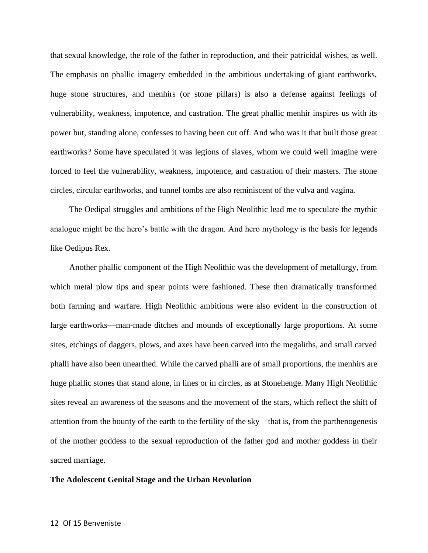that sexual knowledge, the role of the father in reproduction, and their patricidal wishes, as well. The emphasis on phallic imagery embedded in the ambitious undertaking of giant earthworks, huge stone structures, and menhirs (or stone pillars) is also a defense against feelings of vulnerability, weakness, impotence, and castration. The great phallic menhir inspires us with its power but, standing alone, confesses to having been cut off. And who was it that built those great earthworks? Some have speculated it was legions of slaves, whom we could well imagine were forced to feel the vulnerability, weakness, impotence, and castration of their masters. The stone circles, circular earthworks, and tunnel tombs are also reminiscent of the vulva and vagina.

The Oedipal struggles and ambitions of the High Neolithic lead me to speculate the mythic analogue might be the hero's battle with the dragon. And hero mythology is the basis for legends like Oedipus Rex.

Another phallic component of the High Neolithic was the development of metallurgy, from which metal plow tips and spear points were fashioned. These then dramatically transformed both farming and warfare. High Neolithic ambitions were also evident in the construction of large earthworks—man-made ditches and mounds of exceptionally large proportions. At some sites, etchings of daggers, plows, and axes have been carved into the megaliths, and small carved phalli have also been unearthed. While the carved phalli are of small proportions, the menhirs are huge phallic stones that stand alone, in lines or in circles, as at Stonehenge. Many High Neolithic sites reveal an awareness of the seasons and the movement of the stars, which reflect the shift of attention from the bounty of the earth to the fertility of the sky—that is, from the parthenogenesis of the mother goddess to the sexual reproduction of the father god and mother goddess in their sacred marriage.

## **The Adolescent Genital Stage and the Urban Revolution**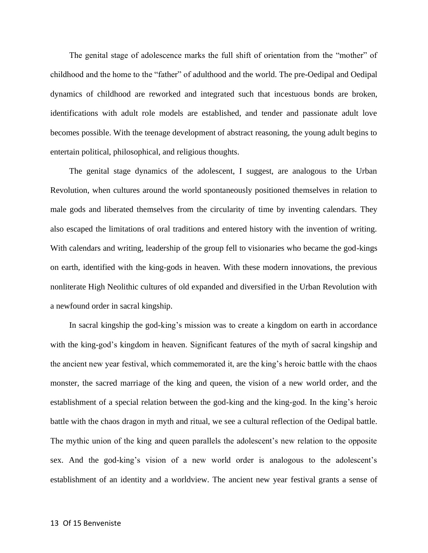The genital stage of adolescence marks the full shift of orientation from the "mother" of childhood and the home to the "father" of adulthood and the world. The pre-Oedipal and Oedipal dynamics of childhood are reworked and integrated such that incestuous bonds are broken, identifications with adult role models are established, and tender and passionate adult love becomes possible. With the teenage development of abstract reasoning, the young adult begins to entertain political, philosophical, and religious thoughts.

The genital stage dynamics of the adolescent, I suggest, are analogous to the Urban Revolution, when cultures around the world spontaneously positioned themselves in relation to male gods and liberated themselves from the circularity of time by inventing calendars. They also escaped the limitations of oral traditions and entered history with the invention of writing. With calendars and writing, leadership of the group fell to visionaries who became the god-kings on earth, identified with the king-gods in heaven. With these modern innovations, the previous nonliterate High Neolithic cultures of old expanded and diversified in the Urban Revolution with a newfound order in sacral kingship.

In sacral kingship the god-king's mission was to create a kingdom on earth in accordance with the king-god's kingdom in heaven. Significant features of the myth of sacral kingship and the ancient new year festival, which commemorated it, are the king's heroic battle with the chaos monster, the sacred marriage of the king and queen, the vision of a new world order, and the establishment of a special relation between the god-king and the king-god. In the king's heroic battle with the chaos dragon in myth and ritual, we see a cultural reflection of the Oedipal battle. The mythic union of the king and queen parallels the adolescent's new relation to the opposite sex. And the god-king's vision of a new world order is analogous to the adolescent's establishment of an identity and a worldview. The ancient new year festival grants a sense of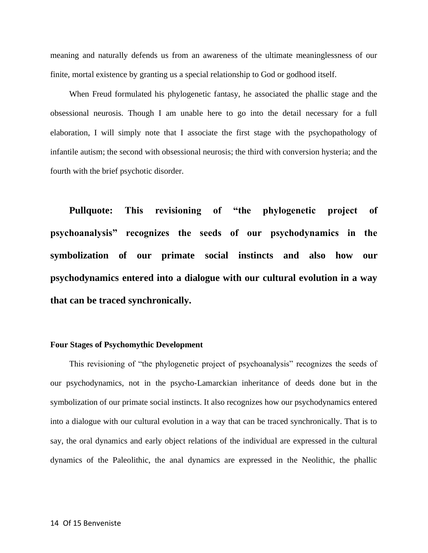meaning and naturally defends us from an awareness of the ultimate meaninglessness of our finite, mortal existence by granting us a special relationship to God or godhood itself.

When Freud formulated his phylogenetic fantasy, he associated the phallic stage and the obsessional neurosis. Though I am unable here to go into the detail necessary for a full elaboration, I will simply note that I associate the first stage with the psychopathology of infantile autism; the second with obsessional neurosis; the third with conversion hysteria; and the fourth with the brief psychotic disorder.

**Pullquote: This revisioning of "the phylogenetic project of psychoanalysis" recognizes the seeds of our psychodynamics in the symbolization of our primate social instincts and also how our psychodynamics entered into a dialogue with our cultural evolution in a way that can be traced synchronically.**

## **Four Stages of Psychomythic Development**

This revisioning of "the phylogenetic project of psychoanalysis" recognizes the seeds of our psychodynamics, not in the psycho-Lamarckian inheritance of deeds done but in the symbolization of our primate social instincts. It also recognizes how our psychodynamics entered into a dialogue with our cultural evolution in a way that can be traced synchronically. That is to say, the oral dynamics and early object relations of the individual are expressed in the cultural dynamics of the Paleolithic, the anal dynamics are expressed in the Neolithic, the phallic